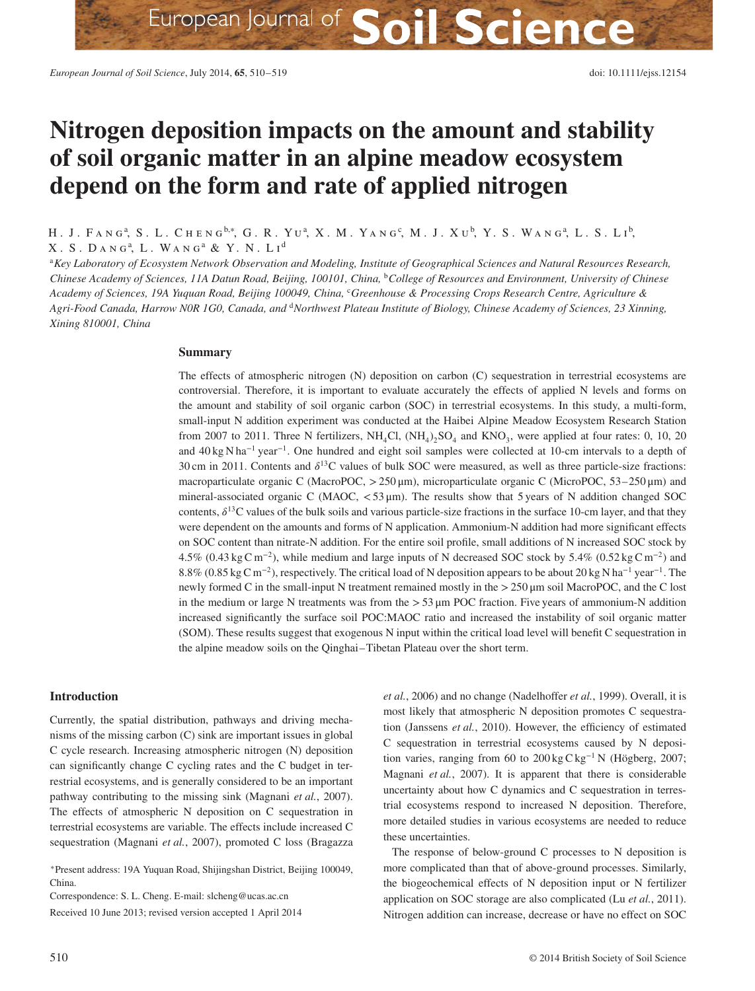# **Nitrogen deposition impacts on the amount and stability of soil organic matter in an alpine meadow ecosystem depend on the form and rate of applied nitrogen**

Н. Ј. Fа́ N Gª, S . L . Сне́ N G<sup>b,∗</sup>, G . R . Yuª, X . M . Yа́ N G <sup>c</sup>, M . J . Хu b, Y . S . Wа́ N G ª, L . S . Lı b,  $X$ . S. DANG<sup>a</sup>, L. WANG<sup>a</sup> & Y. N. Li<sup>d</sup>

<sup>a</sup>*Key Laboratory of Ecosystem Network Observation and Modeling, Institute of Geographical Sciences and Natural Resources Research, Chinese Academy of Sciences, 11A Datun Road, Beijing, 100101, China,* <sup>b</sup>*College of Resources and Environment, University of Chinese Academy of Sciences, 19A Yuquan Road, Beijing 100049, China,* <sup>c</sup>*Greenhouse & Processing Crops Research Centre, Agriculture & Agri-Food Canada, Harrow N0R 1G0, Canada, and* <sup>d</sup>*Northwest Plateau Institute of Biology, Chinese Academy of Sciences, 23 Xinning, Xining 810001, China*

## **Summary**

The effects of atmospheric nitrogen (N) deposition on carbon (C) sequestration in terrestrial ecosystems are controversial. Therefore, it is important to evaluate accurately the effects of applied N levels and forms on the amount and stability of soil organic carbon (SOC) in terrestrial ecosystems. In this study, a multi-form, small-input N addition experiment was conducted at the Haibei Alpine Meadow Ecosystem Research Station from 2007 to 2011. Three N fertilizers,  $NH_4Cl$ ,  $(NH_4)$ ,  $SO_4$  and  $KNO_3$ , were applied at four rates: 0, 10, 20 and 40 kg N ha<sup>−</sup><sup>1</sup> year<sup>−</sup>1. One hundred and eight soil samples were collected at 10-cm intervals to a depth of 30 cm in 2011. Contents and  $\delta^{13}$ C values of bulk SOC were measured, as well as three particle-size fractions: macroparticulate organic C (MacroPOC, *>*250 μm), microparticulate organic C (MicroPOC, 53–250 μm) and mineral-associated organic C (MAOC, *<*53 μm). The results show that 5 years of N addition changed SOC contents,  $\delta^{13}$ C values of the bulk soils and various particle-size fractions in the surface 10-cm layer, and that they were dependent on the amounts and forms of N application. Ammonium-N addition had more significant effects on SOC content than nitrate-N addition. For the entire soil profile, small additions of N increased SOC stock by 4.5% (0.43 kg C m<sup>−</sup>2), while medium and large inputs of N decreased SOC stock by 5.4% (0.52 kg C m−2) and 8.8% (0.85 kg C m<sup>−</sup>2), respectively. The critical load of N deposition appears to be about 20 kg N ha−<sup>1</sup> year<sup>−</sup>1. The newly formed C in the small-input N treatment remained mostly in the *>*250 μm soil MacroPOC, and the C lost in the medium or large N treatments was from the *>*53 μm POC fraction. Five years of ammonium-N addition increased significantly the surface soil POC:MAOC ratio and increased the instability of soil organic matter (SOM). These results suggest that exogenous N input within the critical load level will benefit C sequestration in the alpine meadow soils on the Qinghai–Tibetan Plateau over the short term.

# **Introduction**

Currently, the spatial distribution, pathways and driving mechanisms of the missing carbon (C) sink are important issues in global C cycle research. Increasing atmospheric nitrogen (N) deposition can significantly change C cycling rates and the C budget in terrestrial ecosystems, and is generally considered to be an important pathway contributing to the missing sink (Magnani *et al.*, 2007). The effects of atmospheric N deposition on C sequestration in terrestrial ecosystems are variable. The effects include increased C sequestration (Magnani *et al.*, 2007), promoted C loss (Bragazza

<sup>∗</sup>Present address: 19A Yuquan Road, Shijingshan District, Beijing 100049, China.

Correspondence: S. L. Cheng. E-mail: slcheng@ucas.ac.cn Received 10 June 2013; revised version accepted 1 April 2014 *et al.*, 2006) and no change (Nadelhoffer *et al.*, 1999). Overall, it is most likely that atmospheric N deposition promotes C sequestration (Janssens *et al.*, 2010). However, the efficiency of estimated C sequestration in terrestrial ecosystems caused by N deposition varies, ranging from 60 to 200 kg C kg<sup>−</sup><sup>1</sup> N (Högberg, 2007; Magnani *et al.*, 2007). It is apparent that there is considerable uncertainty about how C dynamics and C sequestration in terrestrial ecosystems respond to increased N deposition. Therefore, more detailed studies in various ecosystems are needed to reduce these uncertainties.

The response of below-ground C processes to N deposition is more complicated than that of above-ground processes. Similarly, the biogeochemical effects of N deposition input or N fertilizer application on SOC storage are also complicated (Lu *et al.*, 2011). Nitrogen addition can increase, decrease or have no effect on SOC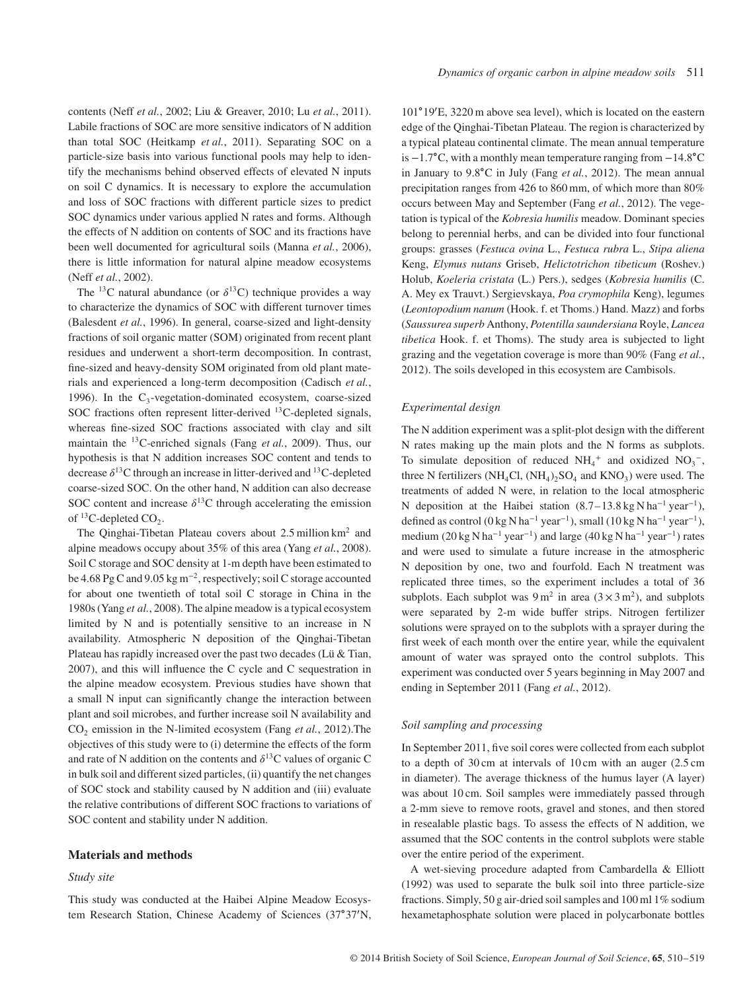contents (Neff *et al.*, 2002; Liu & Greaver, 2010; Lu *et al.*, 2011). Labile fractions of SOC are more sensitive indicators of N addition than total SOC (Heitkamp *et al.*, 2011). Separating SOC on a particle-size basis into various functional pools may help to identify the mechanisms behind observed effects of elevated N inputs on soil C dynamics. It is necessary to explore the accumulation and loss of SOC fractions with different particle sizes to predict SOC dynamics under various applied N rates and forms. Although the effects of N addition on contents of SOC and its fractions have been well documented for agricultural soils (Manna *et al.*, 2006), there is little information for natural alpine meadow ecosystems (Neff *et al.*, 2002).

The <sup>13</sup>C natural abundance (or  $\delta^{13}$ C) technique provides a way to characterize the dynamics of SOC with different turnover times (Balesdent *et al.*, 1996). In general, coarse-sized and light-density fractions of soil organic matter (SOM) originated from recent plant residues and underwent a short-term decomposition. In contrast, fine-sized and heavy-density SOM originated from old plant materials and experienced a long-term decomposition (Cadisch *et al.*, 1996). In the  $C_3$ -vegetation-dominated ecosystem, coarse-sized SOC fractions often represent litter-derived 13C-depleted signals, whereas fine-sized SOC fractions associated with clay and silt maintain the 13C-enriched signals (Fang *et al.*, 2009). Thus, our hypothesis is that N addition increases SOC content and tends to decrease  $\delta^{13}$ C through an increase in litter-derived and  $^{13}$ C-depleted coarse-sized SOC. On the other hand, N addition can also decrease SOC content and increase  $\delta^{13}$ C through accelerating the emission of  ${}^{13}$ C-depleted CO<sub>2</sub>.

The Qinghai-Tibetan Plateau covers about 2.5 million km<sup>2</sup> and alpine meadows occupy about 35% of this area (Yang *et al.*, 2008). Soil C storage and SOC density at 1-m depth have been estimated to be 4.68 Pg C and 9.05 kg m<sup>−</sup>2, respectively; soil C storage accounted for about one twentieth of total soil C storage in China in the 1980s (Yang *et al.*, 2008). The alpine meadow is a typical ecosystem limited by N and is potentially sensitive to an increase in N availability. Atmospheric N deposition of the Qinghai-Tibetan Plateau has rapidly increased over the past two decades (Lü & Tian, 2007), and this will influence the C cycle and C sequestration in the alpine meadow ecosystem. Previous studies have shown that a small N input can significantly change the interaction between plant and soil microbes, and further increase soil N availability and CO<sub>2</sub> emission in the N-limited ecosystem (Fang et al., 2012). The objectives of this study were to (i) determine the effects of the form and rate of N addition on the contents and  $\delta^{13}$ C values of organic C in bulk soil and different sized particles, (ii) quantify the net changes of SOC stock and stability caused by N addition and (iii) evaluate the relative contributions of different SOC fractions to variations of SOC content and stability under N addition.

# **Materials and methods**

## *Study site*

This study was conducted at the Haibei Alpine Meadow Ecosystem Research Station, Chinese Academy of Sciences (37∘37′ N,

101∘19′ E, 3220 m above sea level), which is located on the eastern edge of the Qinghai-Tibetan Plateau. The region is characterized by a typical plateau continental climate. The mean annual temperature is −1.7∘C, with a monthly mean temperature ranging from −14.8∘C in January to 9.8∘C in July (Fang *et al.*, 2012). The mean annual precipitation ranges from 426 to 860 mm, of which more than 80% occurs between May and September (Fang *et al.*, 2012). The vegetation is typical of the *Kobresia humilis* meadow. Dominant species belong to perennial herbs, and can be divided into four functional groups: grasses (*Festuca ovina* L., *Festuca rubra* L., *Stipa aliena* Keng, *Elymus nutans* Griseb, *Helictotrichon tibeticum* (Roshev.) Holub, *Koeleria cristata* (L.) Pers.), sedges (*Kobresia humilis* (C. A. Mey ex Trauvt.) Sergievskaya, *Poa crymophila* Keng), legumes (*Leontopodium nanum* (Hook. f. et Thoms.) Hand. Mazz) and forbs (*Saussurea superb* Anthony, *Potentilla saundersiana* Royle, *Lancea tibetica* Hook. f. et Thoms). The study area is subjected to light grazing and the vegetation coverage is more than 90% (Fang *et al.*, 2012). The soils developed in this ecosystem are Cambisols.

#### *Experimental design*

The N addition experiment was a split-plot design with the different N rates making up the main plots and the N forms as subplots. To simulate deposition of reduced  $NH_4^+$  and oxidized  $NO_3^-$ , three N fertilizers (NH<sub>4</sub>Cl,  $(NH_4)$ <sub>2</sub>, SO<sub>4</sub> and KNO<sub>3</sub>) were used. The treatments of added N were, in relation to the local atmospheric N deposition at the Haibei station (8.7–13.8 kg N ha<sup>−</sup><sup>1</sup> year<sup>−</sup>1), defined as control (0 kg N ha<sup>-1</sup> year<sup>-1</sup>), small (10 kg N ha<sup>-1</sup> year<sup>-1</sup>), medium (20 kg N ha<sup>−</sup><sup>1</sup> year<sup>−</sup>1) and large (40 kg N ha−<sup>1</sup> year<sup>−</sup>1) rates and were used to simulate a future increase in the atmospheric N deposition by one, two and fourfold. Each N treatment was replicated three times, so the experiment includes a total of 36 subplots. Each subplot was  $9 \text{ m}^2$  in area  $(3 \times 3 \text{ m}^2)$ , and subplots were separated by 2-m wide buffer strips. Nitrogen fertilizer solutions were sprayed on to the subplots with a sprayer during the first week of each month over the entire year, while the equivalent amount of water was sprayed onto the control subplots. This experiment was conducted over 5 years beginning in May 2007 and ending in September 2011 (Fang *et al.*, 2012).

## *Soil sampling and processing*

In September 2011, five soil cores were collected from each subplot to a depth of 30 cm at intervals of 10 cm with an auger (2.5 cm in diameter). The average thickness of the humus layer (A layer) was about 10 cm. Soil samples were immediately passed through a 2-mm sieve to remove roots, gravel and stones, and then stored in resealable plastic bags. To assess the effects of N addition, we assumed that the SOC contents in the control subplots were stable over the entire period of the experiment.

A wet-sieving procedure adapted from Cambardella & Elliott (1992) was used to separate the bulk soil into three particle-size fractions. Simply, 50 g air-dried soil samples and 100 ml 1% sodium hexametaphosphate solution were placed in polycarbonate bottles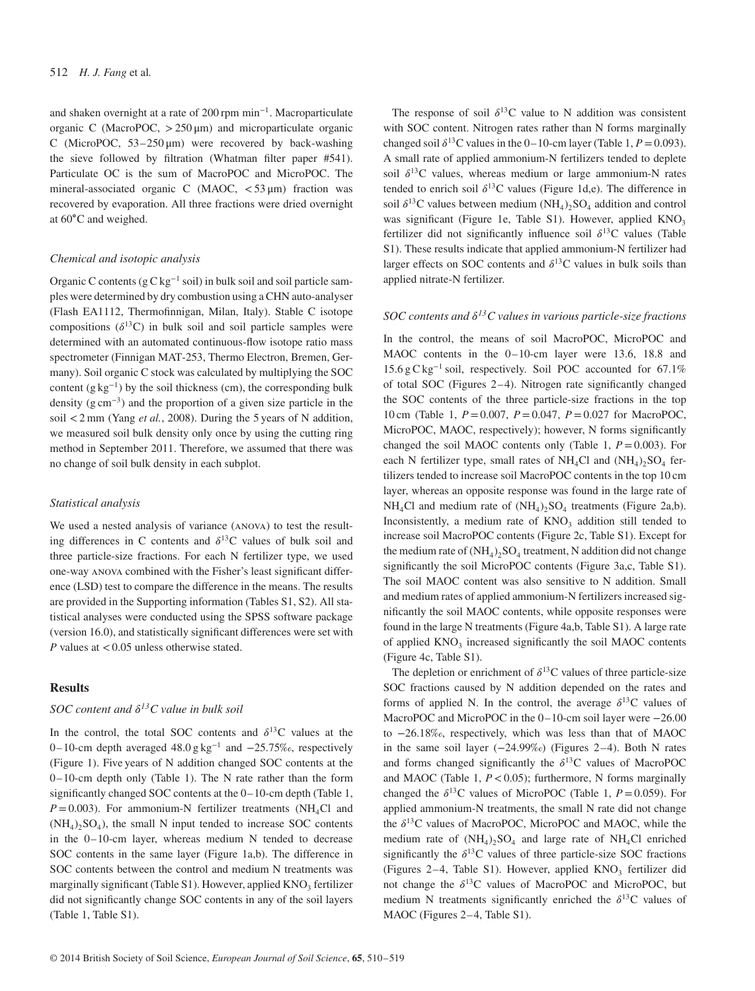## 512 *H. J. Fang* et al*.*

and shaken overnight at a rate of 200 rpm min<sup>−</sup>1. Macroparticulate organic C (MacroPOC, *>*250 μm) and microparticulate organic C (MicroPOC,  $53-250 \mu m$ ) were recovered by back-washing the sieve followed by filtration (Whatman filter paper #541). Particulate OC is the sum of MacroPOC and MicroPOC. The mineral-associated organic C (MAOC, *<*53 μm) fraction was recovered by evaporation. All three fractions were dried overnight at 60∘C and weighed.

## *Chemical and isotopic analysis*

Organic C contents ( $g C kg^{-1}$  soil) in bulk soil and soil particle samples were determined by dry combustion using a CHN auto-analyser (Flash EA1112, Thermofinnigan, Milan, Italy). Stable C isotope compositions  $(\delta^{13}C)$  in bulk soil and soil particle samples were determined with an automated continuous-flow isotope ratio mass spectrometer (Finnigan MAT-253, Thermo Electron, Bremen, Germany). Soil organic C stock was calculated by multiplying the SOC content  $(g \text{ kg}^{-1})$  by the soil thickness (cm), the corresponding bulk density (g cm<sup>-3</sup>) and the proportion of a given size particle in the soil *<*2 mm (Yang *et al.*, 2008). During the 5 years of N addition, we measured soil bulk density only once by using the cutting ring method in September 2011. Therefore, we assumed that there was no change of soil bulk density in each subplot.

## *Statistical analysis*

We used a nested analysis of variance (anova) to test the resulting differences in C contents and  $\delta^{13}$ C values of bulk soil and three particle-size fractions. For each N fertilizer type, we used one-way anova combined with the Fisher's least significant difference (LSD) test to compare the difference in the means. The results are provided in the Supporting information (Tables S1, S2). All statistical analyses were conducted using the SPSS software package (version 16.0), and statistically significant differences were set with *P* values at *<*0.05 unless otherwise stated.

# **Results**

# *SOC content and*  $\delta^{13}C$  *value in bulk soil*

In the control, the total SOC contents and  $\delta^{13}$ C values at the 0–10-cm depth averaged 48.0 g kg<sup>−</sup><sup>1</sup> and −25.75‰, respectively (Figure 1). Five years of N addition changed SOC contents at the 0–10-cm depth only (Table 1). The N rate rather than the form significantly changed SOC contents at the 0–10-cm depth (Table 1,  $P=0.003$ ). For ammonium-N fertilizer treatments (NH<sub>4</sub>Cl and  $(NH_4)$ ,  $SO_4$ ), the small N input tended to increase SOC contents in the 0–10-cm layer, whereas medium N tended to decrease SOC contents in the same layer (Figure 1a,b). The difference in SOC contents between the control and medium N treatments was marginally significant (Table S1). However, applied  $KNO<sub>3</sub>$  fertilizer did not significantly change SOC contents in any of the soil layers (Table 1, Table S1).

The response of soil  $\delta^{13}$ C value to N addition was consistent with SOC content. Nitrogen rates rather than N forms marginally changed soil  $\delta^{13}$ C values in the 0–10-cm layer (Table 1, *P* = 0.093). A small rate of applied ammonium-N fertilizers tended to deplete soil  $\delta^{13}$ C values, whereas medium or large ammonium-N rates tended to enrich soil  $\delta^{13}$ C values (Figure 1d,e). The difference in soil  $\delta^{13}$ C values between medium (NH<sub>4</sub>)<sub>2</sub>SO<sub>4</sub> addition and control was significant (Figure 1e, Table S1). However, applied  $KNO<sub>3</sub>$ fertilizer did not significantly influence soil  $\delta^{13}$ C values (Table S1). These results indicate that applied ammonium-N fertilizer had larger effects on SOC contents and  $\delta^{13}$ C values in bulk soils than applied nitrate-N fertilizer*.*

# *SOC contents and*  $\delta^{13}C$  values in various particle-size fractions

In the control, the means of soil MacroPOC, MicroPOC and MAOC contents in the 0–10-cm layer were 13.6, 18.8 and 15.6 g C kg<sup>−</sup><sup>1</sup> soil, respectively. Soil POC accounted for 67.1% of total SOC (Figures 2–4). Nitrogen rate significantly changed the SOC contents of the three particle-size fractions in the top 10 cm (Table 1, *P*=0.007, *P*=0.047, *P*=0.027 for MacroPOC, MicroPOC, MAOC, respectively); however, N forms significantly changed the soil MAOC contents only (Table 1,  $P = 0.003$ ). For each N fertilizer type, small rates of  $NH_4Cl$  and  $(NH_4)_2SO_4$  fertilizers tended to increase soil MacroPOC contents in the top 10 cm layer, whereas an opposite response was found in the large rate of  $NH<sub>4</sub>Cl$  and medium rate of  $(NH<sub>4</sub>)<sub>2</sub>SO<sub>4</sub>$  treatments (Figure 2a,b). Inconsistently, a medium rate of  $KNO<sub>3</sub>$  addition still tended to increase soil MacroPOC contents (Figure 2c, Table S1). Except for the medium rate of  $(NH_4)_2SO_4$  treatment, N addition did not change significantly the soil MicroPOC contents (Figure 3a,c, Table S1). The soil MAOC content was also sensitive to N addition. Small and medium rates of applied ammonium-N fertilizers increased significantly the soil MAOC contents, while opposite responses were found in the large N treatments (Figure 4a,b, Table S1). A large rate of applied  $KNO<sub>3</sub>$  increased significantly the soil MAOC contents (Figure 4c, Table S1).

The depletion or enrichment of  $\delta^{13}$ C values of three particle-size SOC fractions caused by N addition depended on the rates and forms of applied N. In the control, the average  $\delta^{13}C$  values of MacroPOC and MicroPOC in the 0–10-cm soil layer were −26.00 to −26.18‰, respectively, which was less than that of MAOC in the same soil layer (−24.99‰) (Figures 2–4). Both N rates and forms changed significantly the  $\delta^{13}$ C values of MacroPOC and MAOC (Table 1, *P<*0.05); furthermore, N forms marginally changed the  $\delta^{13}$ C values of MicroPOC (Table 1,  $P = 0.059$ ). For applied ammonium-N treatments, the small N rate did not change the  $\delta^{13}$ C values of MacroPOC, MicroPOC and MAOC, while the medium rate of  $(NH_4)$ ,  $SO_4$  and large rate of  $NH_4Cl$  enriched significantly the  $\delta^{13}$ C values of three particle-size SOC fractions (Figures 2-4, Table S1). However, applied  $KNO<sub>3</sub>$  fertilizer did not change the  $\delta^{13}$ C values of MacroPOC and MicroPOC, but medium N treatments significantly enriched the  $\delta^{13}C$  values of MAOC (Figures 2–4, Table S1).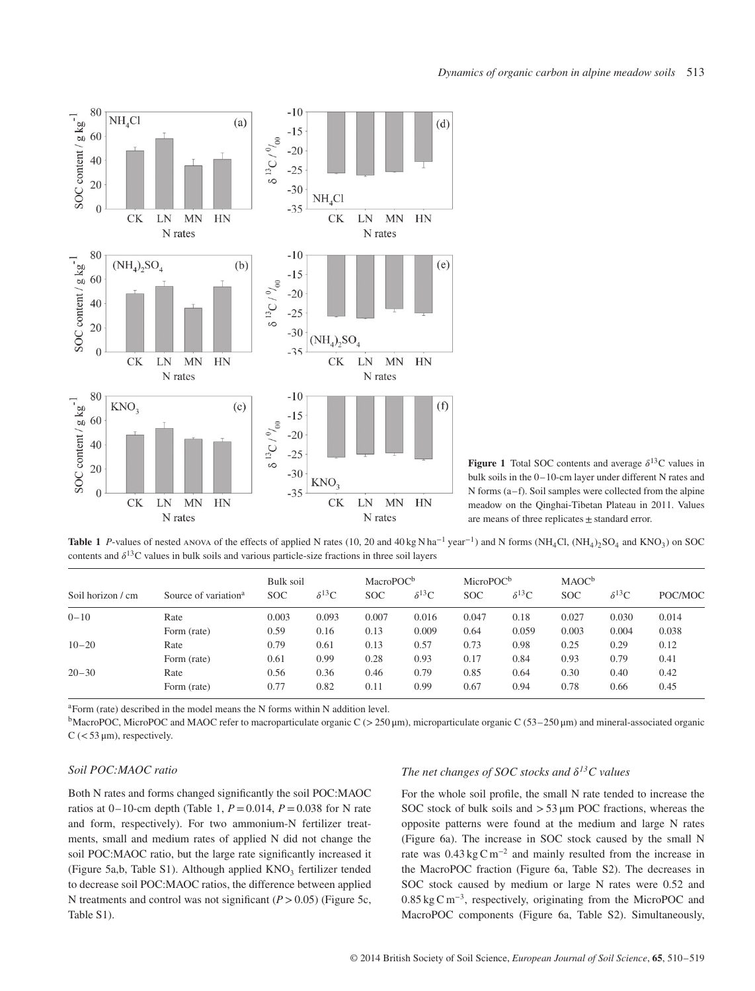

**Figure 1** Total SOC contents and average  $\delta^{13}$ C values in bulk soils in the 0–10-cm layer under different N rates and  $N$  forms (a–f). Soil samples were collected from the alpine meadow on the Qinghai-Tibetan Plateau in 2011. Values are means of three replicates  $\pm$  standard error.

**Table 1** *P*-values of nested ANOvA of the effects of applied N rates (10, 20 and 40 kg N ha<sup>-1</sup> year<sup>-1</sup>) and N forms (NH<sub>4</sub>Cl, (NH<sub>4</sub>)<sub>2</sub>SO<sub>4</sub> and KNO<sub>3</sub>) on SOC contents and  $\delta^{13}$ C values in bulk soils and various particle-size fractions in three soil layers

| Soil horizon / cm | Source of variation <sup>a</sup> | Bulk soil<br><b>SOC</b> | $\delta^{13}C$ | MacroPOC <sup>b</sup><br><b>SOC</b> | $\delta^{13}C$ | MicroPOC <sup>b</sup><br><b>SOC</b> | $\delta^{13}C$ | MAC <sup>b</sup><br><b>SOC</b> | $\delta^{13}C$ | POC/MOC |
|-------------------|----------------------------------|-------------------------|----------------|-------------------------------------|----------------|-------------------------------------|----------------|--------------------------------|----------------|---------|
| $0 - 10$          | Rate                             | 0.003                   | 0.093          | 0.007                               | 0.016          | 0.047                               | 0.18           | 0.027                          | 0.030          | 0.014   |
|                   | Form (rate)                      | 0.59                    | 0.16           | 0.13                                | 0.009          | 0.64                                | 0.059          | 0.003                          | 0.004          | 0.038   |
| $10 - 20$         | Rate                             | 0.79                    | 0.61           | 0.13                                | 0.57           | 0.73                                | 0.98           | 0.25                           | 0.29           | 0.12    |
|                   | Form (rate)                      | 0.61                    | 0.99           | 0.28                                | 0.93           | 0.17                                | 0.84           | 0.93                           | 0.79           | 0.41    |
| $20 - 30$         | Rate                             | 0.56                    | 0.36           | 0.46                                | 0.79           | 0.85                                | 0.64           | 0.30                           | 0.40           | 0.42    |
|                   | Form (rate)                      | 0.77                    | 0.82           | 0.11                                | 0.99           | 0.67                                | 0.94           | 0.78                           | 0.66           | 0.45    |

aForm (rate) described in the model means the N forms within N addition level.

bMacroPOC, MicroPOC and MAOC refer to macroparticulate organic C (*>*250 μm), microparticulate organic C (53–250 μm) and mineral-associated organic C (*<*53 μm), respectively.

# *Soil POC:MAOC ratio*

Both N rates and forms changed significantly the soil POC:MAOC ratios at  $0-10$ -cm depth (Table 1,  $P = 0.014$ ,  $P = 0.038$  for N rate and form, respectively). For two ammonium-N fertilizer treatments, small and medium rates of applied N did not change the soil POC:MAOC ratio, but the large rate significantly increased it (Figure 5a,b, Table S1). Although applied KNO<sub>3</sub> fertilizer tended to decrease soil POC:MAOC ratios, the difference between applied N treatments and control was not significant (*P>*0.05) (Figure 5c, Table S1).

# *The net changes of SOC stocks and*  $\delta^{13}C$  values

For the whole soil profile, the small N rate tended to increase the SOC stock of bulk soils and *>*53 μm POC fractions, whereas the opposite patterns were found at the medium and large N rates (Figure 6a). The increase in SOC stock caused by the small N rate was  $0.43 \text{ kg C m}^{-2}$  and mainly resulted from the increase in the MacroPOC fraction (Figure 6a, Table S2). The decreases in SOC stock caused by medium or large N rates were 0.52 and 0.85 kg C m<sup>−</sup>3, respectively, originating from the MicroPOC and MacroPOC components (Figure 6a, Table S2). Simultaneously,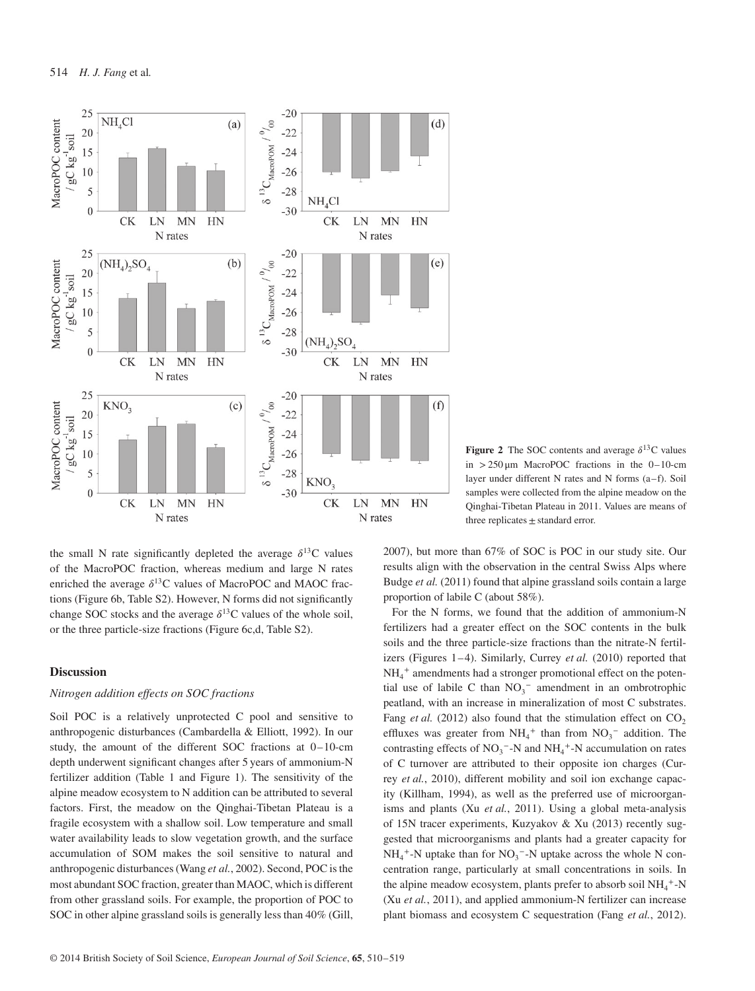

**Figure 2** The SOC contents and average  $\delta^{13}$ C values in *>*250 μm MacroPOC fractions in the 0–10-cm layer under different  $N$  rates and  $N$  forms  $(a-f)$ . Soil samples were collected from the alpine meadow on the Qinghai-Tibetan Plateau in 2011. Values are means of three replicates  $\pm$  standard error.

the small N rate significantly depleted the average  $\delta^{13}$ C values of the MacroPOC fraction, whereas medium and large N rates enriched the average  $\delta^{13}$ C values of MacroPOC and MAOC fractions (Figure 6b, Table S2). However, N forms did not significantly change SOC stocks and the average  $\delta^{13}$ C values of the whole soil, or the three particle-size fractions (Figure 6c,d, Table S2).

# **Discussion**

# *Nitrogen addition effects on SOC fractions*

Soil POC is a relatively unprotected C pool and sensitive to anthropogenic disturbances (Cambardella & Elliott, 1992). In our study, the amount of the different SOC fractions at 0–10-cm depth underwent significant changes after 5 years of ammonium-N fertilizer addition (Table 1 and Figure 1). The sensitivity of the alpine meadow ecosystem to N addition can be attributed to several factors. First, the meadow on the Qinghai-Tibetan Plateau is a fragile ecosystem with a shallow soil. Low temperature and small water availability leads to slow vegetation growth, and the surface accumulation of SOM makes the soil sensitive to natural and anthropogenic disturbances (Wang *et al.*, 2002). Second, POC is the most abundant SOC fraction, greater than MAOC, which is different from other grassland soils. For example, the proportion of POC to SOC in other alpine grassland soils is generally less than 40% (Gill,

2007), but more than 67% of SOC is POC in our study site. Our results align with the observation in the central Swiss Alps where Budge *et al.* (2011) found that alpine grassland soils contain a large proportion of labile C (about 58%).

For the N forms, we found that the addition of ammonium-N fertilizers had a greater effect on the SOC contents in the bulk soils and the three particle-size fractions than the nitrate-N fertilizers (Figures 1–4). Similarly, Currey *et al.* (2010) reported that NH4 <sup>+</sup> amendments had a stronger promotional effect on the potential use of labile C than  $NO<sub>3</sub><sup>-</sup>$  amendment in an ombrotrophic peatland, with an increase in mineralization of most C substrates. Fang *et al.* (2012) also found that the stimulation effect on  $CO<sub>2</sub>$ effluxes was greater from  $NH_4^+$  than from  $NO_3^-$  addition. The contrasting effects of  $NO_3^-$ -N and  $NH_4^+$ -N accumulation on rates of C turnover are attributed to their opposite ion charges (Currey *et al.*, 2010), different mobility and soil ion exchange capacity (Killham, 1994), as well as the preferred use of microorganisms and plants (Xu *et al.*, 2011). Using a global meta-analysis of 15N tracer experiments, Kuzyakov & Xu (2013) recently suggested that microorganisms and plants had a greater capacity for  $NH_4^+$ -N uptake than for  $NO_3^-$ -N uptake across the whole N concentration range, particularly at small concentrations in soils. In the alpine meadow ecosystem, plants prefer to absorb soil NH<sub>4</sub><sup>+</sup>-N (Xu *et al.*, 2011), and applied ammonium-N fertilizer can increase plant biomass and ecosystem C sequestration (Fang *et al.*, 2012).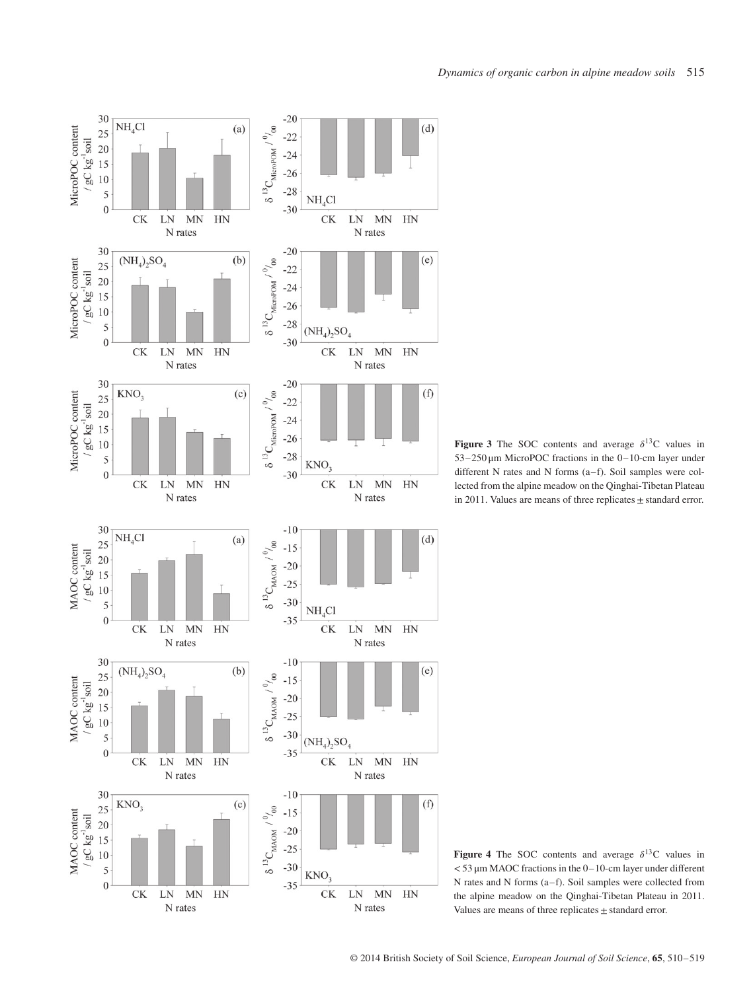

**Figure 3** The SOC contents and average  $\delta^{13}$ C values in 53–250 μm MicroPOC fractions in the 0–10-cm layer under different N rates and N forms  $(a-f)$ . Soil samples were collected from the alpine meadow on the Qinghai-Tibetan Plateau in 2011. Values are means of three replicates  $\pm$  standard error.

**Figure 4** The SOC contents and average  $\delta^{13}$ C values in *<*53 μm MAOC fractions in the 0–10-cm layer under different N rates and N forms  $(a-f)$ . Soil samples were collected from the alpine meadow on the Qinghai-Tibetan Plateau in 2011. Values are means of three replicates  $\pm$  standard error.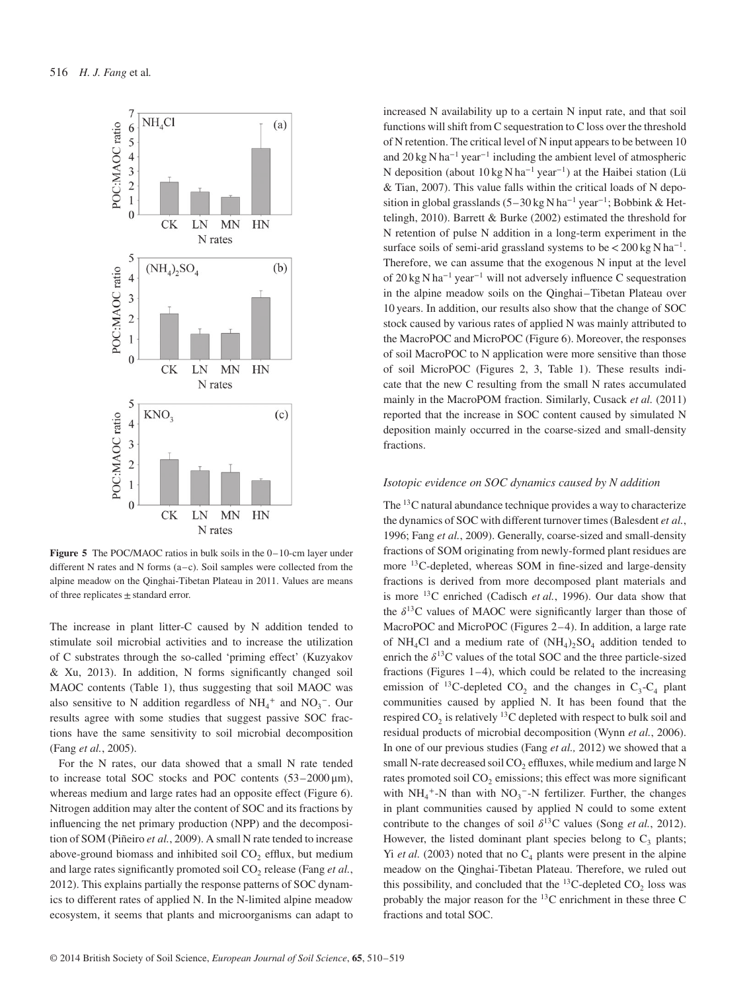

**Figure 5** The POC/MAOC ratios in bulk soils in the 0–10-cm layer under different N rates and N forms (a–c). Soil samples were collected from the alpine meadow on the Qinghai-Tibetan Plateau in 2011. Values are means of three replicates  $\pm$  standard error.

The increase in plant litter-C caused by N addition tended to stimulate soil microbial activities and to increase the utilization of C substrates through the so-called 'priming effect' (Kuzyakov & Xu, 2013). In addition, N forms significantly changed soil MAOC contents (Table 1), thus suggesting that soil MAOC was also sensitive to N addition regardless of  $NH_4^+$  and  $NO_3^-$ . Our results agree with some studies that suggest passive SOC fractions have the same sensitivity to soil microbial decomposition (Fang *et al.*, 2005).

For the N rates, our data showed that a small N rate tended to increase total SOC stocks and POC contents  $(53-2000 \,\mu m)$ , whereas medium and large rates had an opposite effect (Figure 6). Nitrogen addition may alter the content of SOC and its fractions by influencing the net primary production (NPP) and the decomposition of SOM (Piñeiro *et al.*, 2009). A small N rate tended to increase above-ground biomass and inhibited soil  $CO<sub>2</sub>$  efflux, but medium and large rates significantly promoted soil CO<sub>2</sub> release (Fang et al., 2012). This explains partially the response patterns of SOC dynamics to different rates of applied N. In the N-limited alpine meadow ecosystem, it seems that plants and microorganisms can adapt to increased N availability up to a certain N input rate, and that soil functions will shift from C sequestration to C loss over the threshold of N retention. The critical level of N input appears to be between 10 and 20 kg N ha<sup>−</sup><sup>1</sup> year<sup>−</sup><sup>1</sup> including the ambient level of atmospheric N deposition (about 10 kg N ha<sup>−</sup><sup>1</sup> year<sup>−</sup>1) at the Haibei station (Lü & Tian, 2007). This value falls within the critical loads of N deposition in global grasslands (5–30 kg N ha<sup>−</sup><sup>1</sup> year<sup>−</sup>1; Bobbink & Hettelingh, 2010). Barrett & Burke (2002) estimated the threshold for N retention of pulse N addition in a long-term experiment in the surface soils of semi-arid grassland systems to be*<*200 kg N ha<sup>−</sup>1. Therefore, we can assume that the exogenous N input at the level of 20 kg N ha<sup>−</sup><sup>1</sup> year<sup>−</sup><sup>1</sup> will not adversely influence C sequestration in the alpine meadow soils on the Qinghai–Tibetan Plateau over 10 years. In addition, our results also show that the change of SOC stock caused by various rates of applied N was mainly attributed to the MacroPOC and MicroPOC (Figure 6). Moreover, the responses of soil MacroPOC to N application were more sensitive than those of soil MicroPOC (Figures 2, 3, Table 1). These results indicate that the new C resulting from the small N rates accumulated mainly in the MacroPOM fraction. Similarly, Cusack *et al.* (2011) reported that the increase in SOC content caused by simulated N deposition mainly occurred in the coarse-sized and small-density fractions.

# *Isotopic evidence on SOC dynamics caused by N addition*

The 13C natural abundance technique provides a way to characterize the dynamics of SOC with different turnover times (Balesdent *et al.*, 1996; Fang *et al.*, 2009). Generally, coarse-sized and small-density fractions of SOM originating from newly-formed plant residues are more 13C-depleted, whereas SOM in fine-sized and large-density fractions is derived from more decomposed plant materials and is more 13C enriched (Cadisch *et al.*, 1996). Our data show that the  $\delta^{13}$ C values of MAOC were significantly larger than those of MacroPOC and MicroPOC (Figures 2–4). In addition, a large rate of NH<sub>4</sub>Cl and a medium rate of  $(NH_4)$ <sub>2</sub>SO<sub>4</sub> addition tended to enrich the  $\delta^{13}$ C values of the total SOC and the three particle-sized fractions (Figures 1–4), which could be related to the increasing emission of <sup>13</sup>C-depleted CO<sub>2</sub> and the changes in  $C_3-C_4$  plant communities caused by applied N. It has been found that the respired  $CO<sub>2</sub>$  is relatively <sup>13</sup>C depleted with respect to bulk soil and residual products of microbial decomposition (Wynn *et al.*, 2006). In one of our previous studies (Fang *et al.,* 2012) we showed that a small N-rate decreased soil  $CO<sub>2</sub>$  effluxes, while medium and large N rates promoted soil CO<sub>2</sub> emissions; this effect was more significant with  $NH_4^+$ -N than with  $NO_3^-$ -N fertilizer. Further, the changes in plant communities caused by applied N could to some extent contribute to the changes of soil  $\delta^{13}$ C values (Song *et al.*, 2012). However, the listed dominant plant species belong to  $C_3$  plants; Yi *et al.* (2003) noted that no  $C_4$  plants were present in the alpine meadow on the Qinghai-Tibetan Plateau. Therefore, we ruled out this possibility, and concluded that the  $^{13}$ C-depleted CO<sub>2</sub> loss was probably the major reason for the 13C enrichment in these three C fractions and total SOC.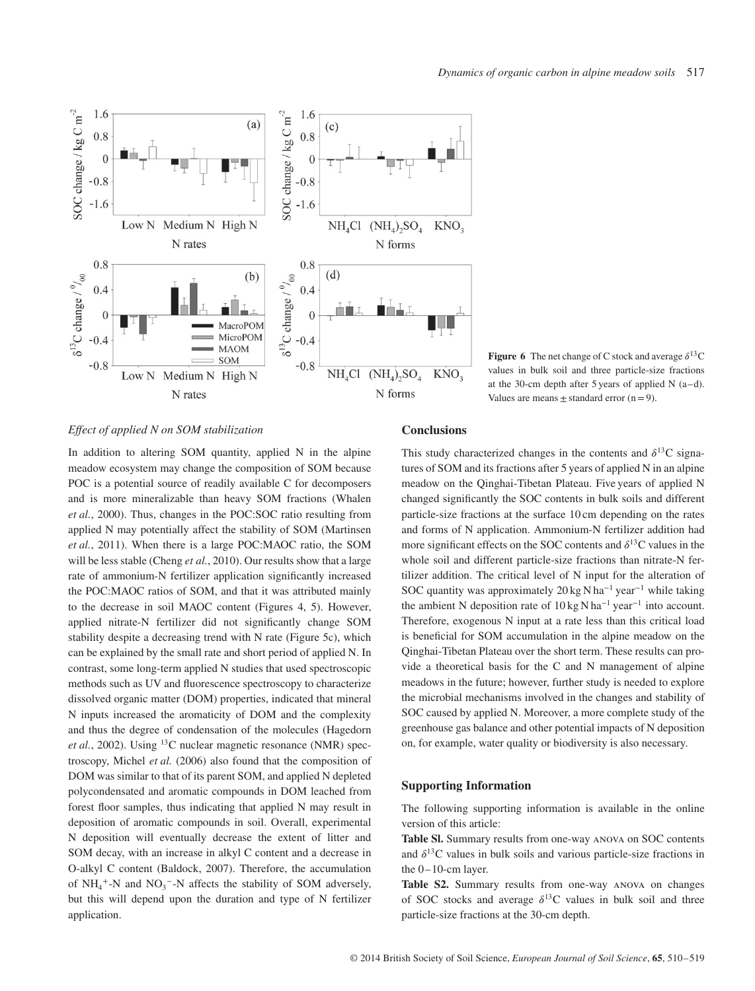

**Figure 6** The net change of C stock and average  $\delta^{13}$ C values in bulk soil and three particle-size fractions at the 30-cm depth after 5 years of applied N (a–d). Values are means  $\pm$  standard error (n = 9).

## *Effect of applied N on SOM stabilization*

In addition to altering SOM quantity, applied N in the alpine meadow ecosystem may change the composition of SOM because POC is a potential source of readily available C for decomposers and is more mineralizable than heavy SOM fractions (Whalen *et al.*, 2000). Thus, changes in the POC:SOC ratio resulting from applied N may potentially affect the stability of SOM (Martinsen *et al.*, 2011). When there is a large POC:MAOC ratio, the SOM will be less stable (Cheng *et al.*, 2010). Our results show that a large rate of ammonium-N fertilizer application significantly increased the POC:MAOC ratios of SOM, and that it was attributed mainly to the decrease in soil MAOC content (Figures 4, 5). However, applied nitrate-N fertilizer did not significantly change SOM stability despite a decreasing trend with N rate (Figure 5c), which can be explained by the small rate and short period of applied N. In contrast, some long-term applied N studies that used spectroscopic methods such as UV and fluorescence spectroscopy to characterize dissolved organic matter (DOM) properties, indicated that mineral N inputs increased the aromaticity of DOM and the complexity and thus the degree of condensation of the molecules (Hagedorn *et al.*, 2002). Using <sup>13</sup>C nuclear magnetic resonance (NMR) spectroscopy, Michel *et al.* (2006) also found that the composition of DOM was similar to that of its parent SOM, and applied N depleted polycondensated and aromatic compounds in DOM leached from forest floor samples, thus indicating that applied N may result in deposition of aromatic compounds in soil. Overall, experimental N deposition will eventually decrease the extent of litter and SOM decay, with an increase in alkyl C content and a decrease in O-alkyl C content (Baldock, 2007). Therefore, the accumulation of  $NH_4$ <sup>+</sup>-N and  $NO_3$ <sup>-</sup>-N affects the stability of SOM adversely, but this will depend upon the duration and type of N fertilizer application.

# **Conclusions**

This study characterized changes in the contents and  $\delta^{13}$ C signatures of SOM and its fractions after 5 years of applied N in an alpine meadow on the Qinghai-Tibetan Plateau. Five years of applied N changed significantly the SOC contents in bulk soils and different particle-size fractions at the surface 10 cm depending on the rates and forms of N application. Ammonium-N fertilizer addition had more significant effects on the SOC contents and  $\delta^{13}$ C values in the whole soil and different particle-size fractions than nitrate-N fertilizer addition. The critical level of N input for the alteration of SOC quantity was approximately 20 kg N ha<sup>-1</sup> year<sup>-1</sup> while taking the ambient N deposition rate of  $10 \text{ kg N}$  ha<sup>-1</sup> year<sup>-1</sup> into account. Therefore, exogenous N input at a rate less than this critical load is beneficial for SOM accumulation in the alpine meadow on the Qinghai-Tibetan Plateau over the short term. These results can provide a theoretical basis for the C and N management of alpine meadows in the future; however, further study is needed to explore the microbial mechanisms involved in the changes and stability of SOC caused by applied N. Moreover, a more complete study of the greenhouse gas balance and other potential impacts of N deposition on, for example, water quality or biodiversity is also necessary.

#### **Supporting Information**

The following supporting information is available in the online version of this article:

**Table Sl.** Summary results from one-way anova on SOC contents and  $\delta^{13}$ C values in bulk soils and various particle-size fractions in the 0–10-cm layer.

**Table S2.** Summary results from one-way anova on changes of SOC stocks and average  $\delta^{13}$ C values in bulk soil and three particle-size fractions at the 30-cm depth.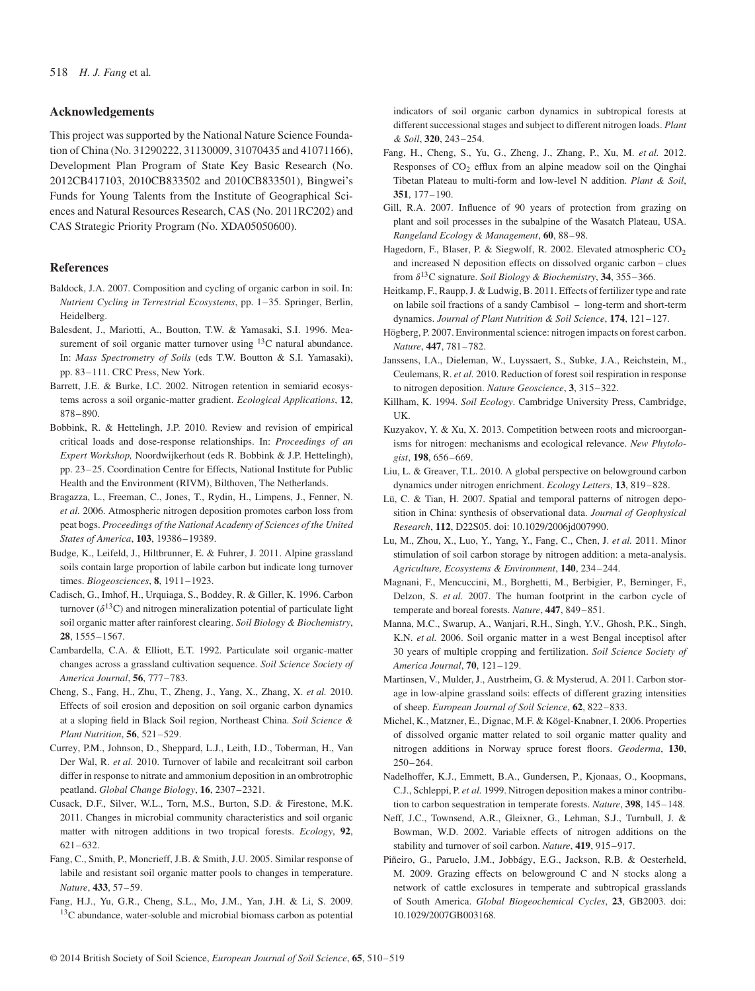#### **Acknowledgements**

This project was supported by the National Nature Science Foundation of China (No. 31290222, 31130009, 31070435 and 41071166), Development Plan Program of State Key Basic Research (No. 2012CB417103, 2010CB833502 and 2010CB833501), Bingwei's Funds for Young Talents from the Institute of Geographical Sciences and Natural Resources Research, CAS (No. 2011RC202) and CAS Strategic Priority Program (No. XDA05050600).

#### **References**

- Baldock, J.A. 2007. Composition and cycling of organic carbon in soil. In: *Nutrient Cycling in Terrestrial Ecosystems*, pp. 1–35. Springer, Berlin, Heidelberg.
- Balesdent, J., Mariotti, A., Boutton, T.W. & Yamasaki, S.I. 1996. Measurement of soil organic matter turnover using  $^{13}$ C natural abundance. In: *Mass Spectrometry of Soils* (eds T.W. Boutton & S.I. Yamasaki), pp. 83–111. CRC Press, New York.
- Barrett, J.E. & Burke, I.C. 2002. Nitrogen retention in semiarid ecosystems across a soil organic-matter gradient. *Ecological Applications*, **12**, 878–890.
- Bobbink, R. & Hettelingh, J.P. 2010. Review and revision of empirical critical loads and dose-response relationships. In: *Proceedings of an Expert Workshop,* Noordwijkerhout (eds R. Bobbink & J.P. Hettelingh), pp. 23–25. Coordination Centre for Effects, National Institute for Public Health and the Environment (RIVM), Bilthoven, The Netherlands.
- Bragazza, L., Freeman, C., Jones, T., Rydin, H., Limpens, J., Fenner, N. *et al.* 2006. Atmospheric nitrogen deposition promotes carbon loss from peat bogs. *Proceedings of the National Academy of Sciences of the United States of America*, **103**, 19386–19389.
- Budge, K., Leifeld, J., Hiltbrunner, E. & Fuhrer, J. 2011. Alpine grassland soils contain large proportion of labile carbon but indicate long turnover times. *Biogeosciences*, **8**, 1911–1923.
- Cadisch, G., Imhof, H., Urquiaga, S., Boddey, R. & Giller, K. 1996. Carbon turnover  $(\delta^{13}C)$  and nitrogen mineralization potential of particulate light soil organic matter after rainforest clearing. *Soil Biology & Biochemistry*, **28**, 1555–1567.
- Cambardella, C.A. & Elliott, E.T. 1992. Particulate soil organic-matter changes across a grassland cultivation sequence. *Soil Science Society of America Journal*, **56**, 777–783.
- Cheng, S., Fang, H., Zhu, T., Zheng, J., Yang, X., Zhang, X. *et al.* 2010. Effects of soil erosion and deposition on soil organic carbon dynamics at a sloping field in Black Soil region, Northeast China. *Soil Science & Plant Nutrition*, **56**, 521–529.
- Currey, P.M., Johnson, D., Sheppard, L.J., Leith, I.D., Toberman, H., Van Der Wal, R. *et al.* 2010. Turnover of labile and recalcitrant soil carbon differ in response to nitrate and ammonium deposition in an ombrotrophic peatland. *Global Change Biology*, **16**, 2307–2321.
- Cusack, D.F., Silver, W.L., Torn, M.S., Burton, S.D. & Firestone, M.K. 2011. Changes in microbial community characteristics and soil organic matter with nitrogen additions in two tropical forests. *Ecology*, **92**, 621–632.
- Fang, C., Smith, P., Moncrieff, J.B. & Smith, J.U. 2005. Similar response of labile and resistant soil organic matter pools to changes in temperature. *Nature*, **433**, 57–59.
- Fang, H.J., Yu, G.R., Cheng, S.L., Mo, J.M., Yan, J.H. & Li, S. 2009. <sup>13</sup>C abundance, water-soluble and microbial biomass carbon as potential

indicators of soil organic carbon dynamics in subtropical forests at different successional stages and subject to different nitrogen loads. *Plant & Soil*, **320**, 243–254.

- Fang, H., Cheng, S., Yu, G., Zheng, J., Zhang, P., Xu, M. *et al.* 2012. Responses of  $CO<sub>2</sub>$  efflux from an alpine meadow soil on the Qinghai Tibetan Plateau to multi-form and low-level N addition. *Plant & Soil*, **351**, 177–190.
- Gill, R.A. 2007. Influence of 90 years of protection from grazing on plant and soil processes in the subalpine of the Wasatch Plateau, USA. *Rangeland Ecology & Management*, **60**, 88–98.
- Hagedorn, F., Blaser, P. & Siegwolf, R. 2002. Elevated atmospheric CO<sub>2</sub> and increased N deposition effects on dissolved organic carbon – clues from  $\delta^{13}$ C signature. *Soil Biology & Biochemistry*, **34**, 355–366.
- Heitkamp, F., Raupp, J. & Ludwig, B. 2011. Effects of fertilizer type and rate on labile soil fractions of a sandy Cambisol – long-term and short-term dynamics. *Journal of Plant Nutrition & Soil Science*, **174**, 121–127.
- Högberg, P. 2007. Environmental science: nitrogen impacts on forest carbon. *Nature*, **447**, 781–782.
- Janssens, I.A., Dieleman, W., Luyssaert, S., Subke, J.A., Reichstein, M., Ceulemans, R. *et al.* 2010. Reduction of forest soil respiration in response to nitrogen deposition. *Nature Geoscience*, **3**, 315–322.
- Killham, K. 1994. *Soil Ecology*. Cambridge University Press, Cambridge, UK.
- Kuzyakov, Y. & Xu, X. 2013. Competition between roots and microorganisms for nitrogen: mechanisms and ecological relevance. *New Phytologist*, **198**, 656–669.
- Liu, L. & Greaver, T.L. 2010. A global perspective on belowground carbon dynamics under nitrogen enrichment. *Ecology Letters*, **13**, 819–828.
- Lü, C. & Tian, H. 2007. Spatial and temporal patterns of nitrogen deposition in China: synthesis of observational data. *Journal of Geophysical Research*, **112**, D22S05. doi: 10.1029/2006jd007990.
- Lu, M., Zhou, X., Luo, Y., Yang, Y., Fang, C., Chen, J. *et al.* 2011. Minor stimulation of soil carbon storage by nitrogen addition: a meta-analysis. *Agriculture, Ecosystems & Environment*, **140**, 234–244.
- Magnani, F., Mencuccini, M., Borghetti, M., Berbigier, P., Berninger, F., Delzon, S. *et al.* 2007. The human footprint in the carbon cycle of temperate and boreal forests. *Nature*, **447**, 849–851.
- Manna, M.C., Swarup, A., Wanjari, R.H., Singh, Y.V., Ghosh, P.K., Singh, K.N. *et al.* 2006. Soil organic matter in a west Bengal inceptisol after 30 years of multiple cropping and fertilization. *Soil Science Society of America Journal*, **70**, 121–129.
- Martinsen, V., Mulder, J., Austrheim, G. & Mysterud, A. 2011. Carbon storage in low-alpine grassland soils: effects of different grazing intensities of sheep. *European Journal of Soil Science*, **62**, 822–833.
- Michel, K., Matzner, E., Dignac, M.F. & Kögel-Knabner, I. 2006. Properties of dissolved organic matter related to soil organic matter quality and nitrogen additions in Norway spruce forest floors. *Geoderma*, **130**, 250–264.
- Nadelhoffer, K.J., Emmett, B.A., Gundersen, P., Kjonaas, O., Koopmans, C.J., Schleppi, P. *et al.* 1999. Nitrogen deposition makes a minor contribution to carbon sequestration in temperate forests. *Nature*, **398**, 145–148.
- Neff, J.C., Townsend, A.R., Gleixner, G., Lehman, S.J., Turnbull, J. & Bowman, W.D. 2002. Variable effects of nitrogen additions on the stability and turnover of soil carbon. *Nature*, **419**, 915–917.
- Piñeiro, G., Paruelo, J.M., Jobbágy, E.G., Jackson, R.B. & Oesterheld, M. 2009. Grazing effects on belowground C and N stocks along a network of cattle exclosures in temperate and subtropical grasslands of South America. *Global Biogeochemical Cycles*, **23**, GB2003. doi: 10.1029/2007GB003168.